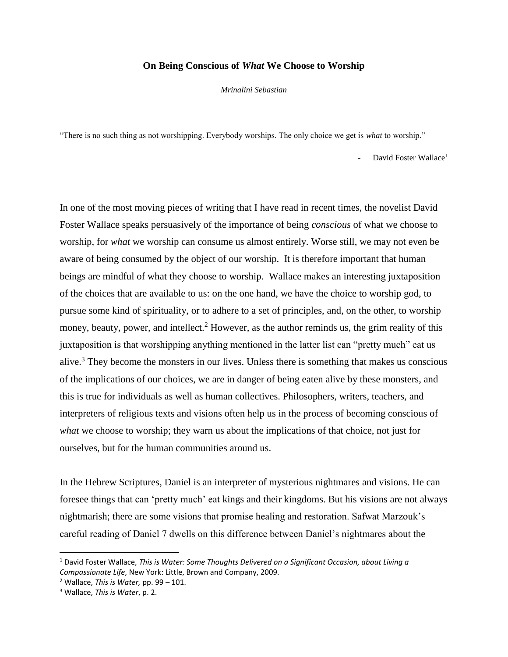## **On Being Conscious of** *What* **We Choose to Worship**

*Mrinalini Sebastian*

"There is no such thing as not worshipping. Everybody worships. The only choice we get is *what* to worship."

David Foster Wallace<sup>1</sup>

In one of the most moving pieces of writing that I have read in recent times, the novelist David Foster Wallace speaks persuasively of the importance of being *conscious* of what we choose to worship, for *what* we worship can consume us almost entirely. Worse still, we may not even be aware of being consumed by the object of our worship. It is therefore important that human beings are mindful of what they choose to worship. Wallace makes an interesting juxtaposition of the choices that are available to us: on the one hand, we have the choice to worship god, to pursue some kind of spirituality, or to adhere to a set of principles, and, on the other, to worship money, beauty, power, and intellect.<sup>2</sup> However, as the author reminds us, the grim reality of this juxtaposition is that worshipping anything mentioned in the latter list can "pretty much" eat us alive.<sup>3</sup> They become the monsters in our lives. Unless there is something that makes us conscious of the implications of our choices, we are in danger of being eaten alive by these monsters, and this is true for individuals as well as human collectives. Philosophers, writers, teachers, and interpreters of religious texts and visions often help us in the process of becoming conscious of *what* we choose to worship; they warn us about the implications of that choice, not just for ourselves, but for the human communities around us.

In the Hebrew Scriptures, Daniel is an interpreter of mysterious nightmares and visions. He can foresee things that can 'pretty much' eat kings and their kingdoms. But his visions are not always nightmarish; there are some visions that promise healing and restoration. Safwat Marzouk's careful reading of Daniel 7 dwells on this difference between Daniel's nightmares about the

 $\overline{a}$ 

<sup>1</sup> David Foster Wallace, *This is Water: Some Thoughts Delivered on a Significant Occasion, about Living a Compassionate Life*, New York: Little, Brown and Company, 2009.

<sup>2</sup> Wallace, *This is Water,* pp. 99 – 101.

<sup>3</sup> Wallace, *This is Water*, p. 2.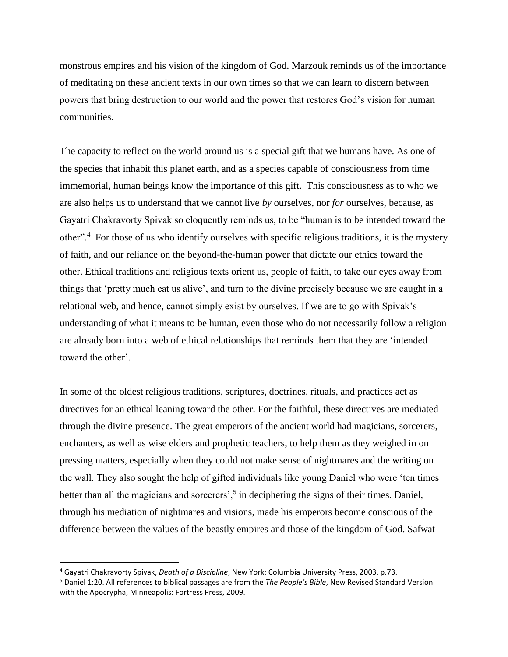monstrous empires and his vision of the kingdom of God. Marzouk reminds us of the importance of meditating on these ancient texts in our own times so that we can learn to discern between powers that bring destruction to our world and the power that restores God's vision for human communities.

The capacity to reflect on the world around us is a special gift that we humans have. As one of the species that inhabit this planet earth, and as a species capable of consciousness from time immemorial, human beings know the importance of this gift. This consciousness as to who we are also helps us to understand that we cannot live *by* ourselves, nor *for* ourselves, because, as Gayatri Chakravorty Spivak so eloquently reminds us, to be "human is to be intended toward the other".<sup>4</sup> For those of us who identify ourselves with specific religious traditions, it is the mystery of faith, and our reliance on the beyond-the-human power that dictate our ethics toward the other. Ethical traditions and religious texts orient us, people of faith, to take our eyes away from things that 'pretty much eat us alive', and turn to the divine precisely because we are caught in a relational web, and hence, cannot simply exist by ourselves. If we are to go with Spivak's understanding of what it means to be human, even those who do not necessarily follow a religion are already born into a web of ethical relationships that reminds them that they are 'intended toward the other'.

In some of the oldest religious traditions, scriptures, doctrines, rituals, and practices act as directives for an ethical leaning toward the other. For the faithful, these directives are mediated through the divine presence. The great emperors of the ancient world had magicians, sorcerers, enchanters, as well as wise elders and prophetic teachers, to help them as they weighed in on pressing matters, especially when they could not make sense of nightmares and the writing on the wall. They also sought the help of gifted individuals like young Daniel who were 'ten times better than all the magicians and sorcerers',<sup>5</sup> in deciphering the signs of their times. Daniel, through his mediation of nightmares and visions, made his emperors become conscious of the difference between the values of the beastly empires and those of the kingdom of God. Safwat

 $\overline{\phantom{a}}$ 

<sup>4</sup> Gayatri Chakravorty Spivak, *Death of a Discipline*, New York: Columbia University Press, 2003, p.73.

<sup>5</sup> Daniel 1:20. All references to biblical passages are from the *The People's Bible*, New Revised Standard Version with the Apocrypha, Minneapolis: Fortress Press, 2009.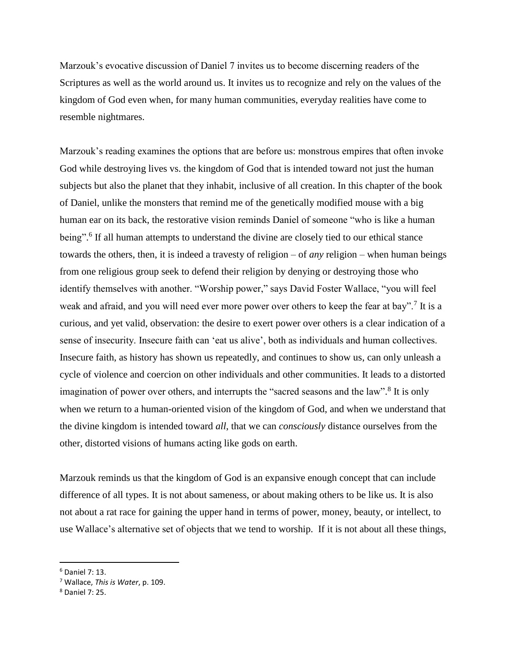Marzouk's evocative discussion of Daniel 7 invites us to become discerning readers of the Scriptures as well as the world around us. It invites us to recognize and rely on the values of the kingdom of God even when, for many human communities, everyday realities have come to resemble nightmares.

Marzouk's reading examines the options that are before us: monstrous empires that often invoke God while destroying lives vs. the kingdom of God that is intended toward not just the human subjects but also the planet that they inhabit, inclusive of all creation. In this chapter of the book of Daniel, unlike the monsters that remind me of the genetically modified mouse with a big human ear on its back, the restorative vision reminds Daniel of someone "who is like a human being".<sup>6</sup> If all human attempts to understand the divine are closely tied to our ethical stance towards the others, then, it is indeed a travesty of religion – of *any* religion – when human beings from one religious group seek to defend their religion by denying or destroying those who identify themselves with another. "Worship power," says David Foster Wallace, "you will feel weak and afraid, and you will need ever more power over others to keep the fear at bay".<sup>7</sup> It is a curious, and yet valid, observation: the desire to exert power over others is a clear indication of a sense of insecurity. Insecure faith can 'eat us alive', both as individuals and human collectives. Insecure faith, as history has shown us repeatedly, and continues to show us, can only unleash a cycle of violence and coercion on other individuals and other communities. It leads to a distorted imagination of power over others, and interrupts the "sacred seasons and the law".<sup>8</sup> It is only when we return to a human-oriented vision of the kingdom of God, and when we understand that the divine kingdom is intended toward *all*, that we can *consciously* distance ourselves from the other, distorted visions of humans acting like gods on earth.

Marzouk reminds us that the kingdom of God is an expansive enough concept that can include difference of all types. It is not about sameness, or about making others to be like us. It is also not about a rat race for gaining the upper hand in terms of power, money, beauty, or intellect, to use Wallace's alternative set of objects that we tend to worship. If it is not about all these things,

 $\overline{\phantom{a}}$ 

 $6$  Daniel 7: 13.

<sup>7</sup> Wallace, *This is Water*, p. 109.

<sup>8</sup> Daniel 7: 25.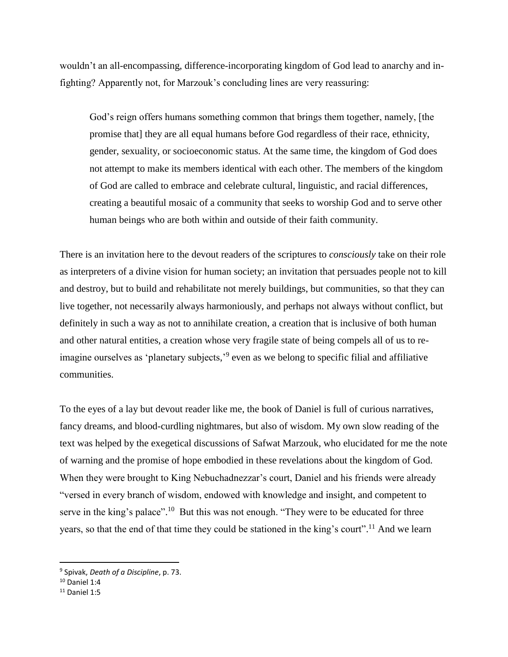wouldn't an all-encompassing, difference-incorporating kingdom of God lead to anarchy and infighting? Apparently not, for Marzouk's concluding lines are very reassuring:

God's reign offers humans something common that brings them together, namely, [the promise that] they are all equal humans before God regardless of their race, ethnicity, gender, sexuality, or socioeconomic status. At the same time, the kingdom of God does not attempt to make its members identical with each other. The members of the kingdom of God are called to embrace and celebrate cultural, linguistic, and racial differences, creating a beautiful mosaic of a community that seeks to worship God and to serve other human beings who are both within and outside of their faith community.

There is an invitation here to the devout readers of the scriptures to *consciously* take on their role as interpreters of a divine vision for human society; an invitation that persuades people not to kill and destroy, but to build and rehabilitate not merely buildings, but communities, so that they can live together, not necessarily always harmoniously, and perhaps not always without conflict, but definitely in such a way as not to annihilate creation, a creation that is inclusive of both human and other natural entities, a creation whose very fragile state of being compels all of us to reimagine ourselves as 'planetary subjects,'<sup>9</sup> even as we belong to specific filial and affiliative communities.

To the eyes of a lay but devout reader like me, the book of Daniel is full of curious narratives, fancy dreams, and blood-curdling nightmares, but also of wisdom. My own slow reading of the text was helped by the exegetical discussions of Safwat Marzouk, who elucidated for me the note of warning and the promise of hope embodied in these revelations about the kingdom of God. When they were brought to King Nebuchadnezzar's court, Daniel and his friends were already "versed in every branch of wisdom, endowed with knowledge and insight, and competent to serve in the king's palace".<sup>10</sup> But this was not enough. "They were to be educated for three years, so that the end of that time they could be stationed in the king's court".<sup>11</sup> And we learn

 $\overline{\phantom{a}}$ 

<sup>9</sup> Spivak, *Death of a Discipline*, p. 73.

 $10$  Daniel 1:4

 $11$  Daniel 1:5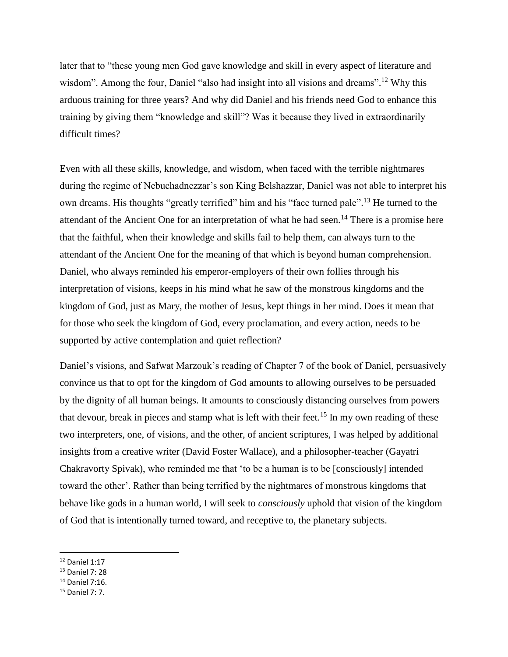later that to "these young men God gave knowledge and skill in every aspect of literature and wisdom". Among the four, Daniel "also had insight into all visions and dreams".<sup>12</sup> Why this arduous training for three years? And why did Daniel and his friends need God to enhance this training by giving them "knowledge and skill"? Was it because they lived in extraordinarily difficult times?

Even with all these skills, knowledge, and wisdom, when faced with the terrible nightmares during the regime of Nebuchadnezzar's son King Belshazzar, Daniel was not able to interpret his own dreams. His thoughts "greatly terrified" him and his "face turned pale".<sup>13</sup> He turned to the attendant of the Ancient One for an interpretation of what he had seen.<sup>14</sup> There is a promise here that the faithful, when their knowledge and skills fail to help them, can always turn to the attendant of the Ancient One for the meaning of that which is beyond human comprehension. Daniel, who always reminded his emperor-employers of their own follies through his interpretation of visions, keeps in his mind what he saw of the monstrous kingdoms and the kingdom of God, just as Mary, the mother of Jesus, kept things in her mind. Does it mean that for those who seek the kingdom of God, every proclamation, and every action, needs to be supported by active contemplation and quiet reflection?

Daniel's visions, and Safwat Marzouk's reading of Chapter 7 of the book of Daniel, persuasively convince us that to opt for the kingdom of God amounts to allowing ourselves to be persuaded by the dignity of all human beings. It amounts to consciously distancing ourselves from powers that devour, break in pieces and stamp what is left with their feet.<sup>15</sup> In my own reading of these two interpreters, one, of visions, and the other, of ancient scriptures, I was helped by additional insights from a creative writer (David Foster Wallace), and a philosopher-teacher (Gayatri Chakravorty Spivak), who reminded me that 'to be a human is to be [consciously] intended toward the other'. Rather than being terrified by the nightmares of monstrous kingdoms that behave like gods in a human world, I will seek to *consciously* uphold that vision of the kingdom of God that is intentionally turned toward, and receptive to, the planetary subjects.

 $\overline{a}$ 

- $14$  Daniel 7:16.
- <sup>15</sup> Daniel 7: 7.

<sup>12</sup> Daniel 1:17

<sup>13</sup> Daniel 7: 28